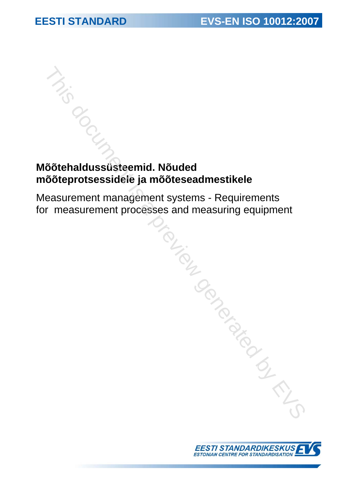# **Mõõtehaldussüsteemid. Nõuded mõõteprotsessidele ja mõõteseadmestikele**

Measurement management systems - Requirements for measurement processes and measuring equipment This document and **Solution Container and Solution**<br>
Solution Contains a process and most<br>
seasurement processes and measuring equipment<br>
Franciscus and measuring equipment<br>
Francisco Contains and Solution Container and So

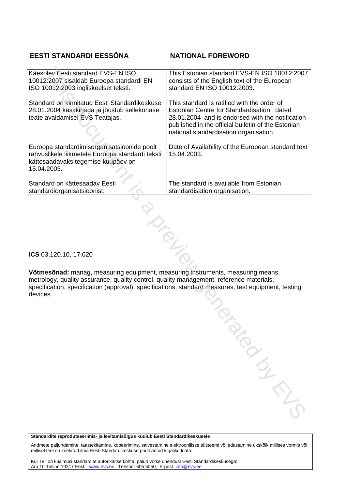# **EESTI STANDARDI EESSÕNA NATIONAL FOREWORD**

| consists of the English text of the European<br>standard EN ISO 10012:2003.                                                                                                                                                                  |
|----------------------------------------------------------------------------------------------------------------------------------------------------------------------------------------------------------------------------------------------|
| This standard is ratified with the order of<br>Estonian Centre for Standardisation dated<br>28.01.2004 and is endorsed with the notification<br>published in the official bulletin of the Estonian<br>national standardisation organisation. |
| Date of Availability of the European standard text<br>15.04.2003.                                                                                                                                                                            |
| The standard is available from Estonian<br>standardisation organisation.                                                                                                                                                                     |
|                                                                                                                                                                                                                                              |

**ICS** 03.120.10, 17.020

**Võtmesõnad:** manag, measuring equipment, measuring instruments, measuring means, metrology, quality assurance, quality control, quality management, reference materials, specification, specification (approval), specifications, standard measures, test equipment, testing devices The ment, measuring instruments, measuring means,<br>ntrol, quality management, reference materials,<br>pecifications, standard measures, test equipment, testing<br>and the same of the standard measures of the standard measures of

**Standardite reprodutseerimis- ja levitamisõigus kuulub Eesti Standardikeskusele** 

Andmete paljundamine, taastekitamine, kopeerimine, salvestamine elektroonilisse süsteemi või edastamine ükskõik millises vormis või millisel teel on keelatud ilma Eesti Standardikeskuse poolt antud kirjaliku loata.

Kui Teil on küsimusi standardite autorikaitse kohta, palun võtke ühendust Eesti Standardikeskusega: Aru 10 Tallinn 10317 Eesti; www.evs.ee; Telefon: 605 5050; E-post: info@evs.ee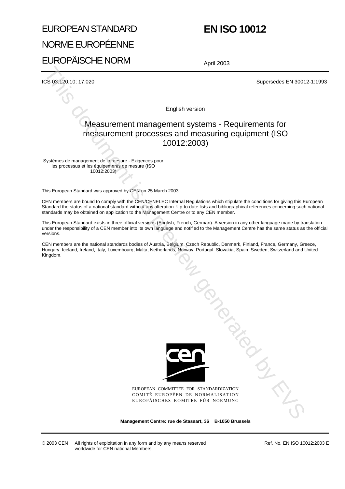# EUROPEAN STANDARD NORME EUROPÉENNE EUROPÄISCHE NORM

# **EN ISO 10012**

April 2003

ICS 03.120.10; 17.020 Supersedes EN 30012-1:1993

English version

# Measurement management systems - Requirements for measurement processes and measuring equipment (ISO 10012:2003)

Systèmes de management de la mesure - Exigences pour les processus et les équipements de mesure (ISO 10012:2003)

This European Standard was approved by CEN on 25 March 2003.

CEN members are bound to comply with the CEN/CENELEC Internal Regulations which stipulate the conditions for giving this European Standard the status of a national standard without any alteration. Up-to-date lists and bibliographical references concerning such national standards may be obtained on application to the Management Centre or to any CEN member.

This European Standard exists in three official versions (English, French, German). A version in any other language made by translation under the responsibility of a CEN member into its own language and notified to the Management Centre has the same status as the official versions.

CEN members are the national standards bodies of Austria, Belgium, Czech Republic, Denmark, Finland, France, Germany, Greece, Hungary, Iceland, Ireland, Italy, Luxembourg, Malta, Netherlands, Norway, Portugal, Slovakia, Spain, Sweden, Switzerland and United Kingdom.



EUROPEAN COMMITTEE FOR STANDARDIZATION COMITÉ EUROPÉEN DE NORMALISATION EUROPÄISCHES KOMITEE FÜR NORMUNG Tangand Manuscript

**Management Centre: rue de Stassart, 36 B-1050 Brussels**

Ref. No. EN ISO 10012:2003 E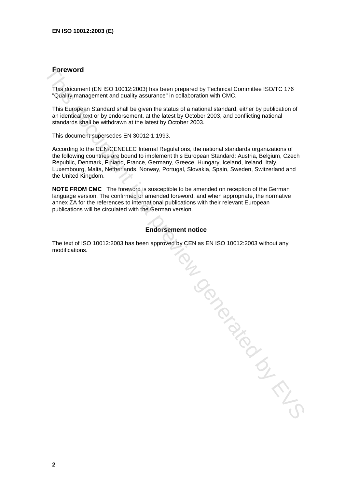# **Foreword**

This document (EN ISO 10012:2003) has been prepared by Technical Committee ISO/TC 176 "Quality management and quality assurance" in collaboration with CMC.

This European Standard shall be given the status of a national standard, either by publication of an identical text or by endorsement, at the latest by October 2003, and conflicting national standards shall be withdrawn at the latest by October 2003.

This document supersedes EN 30012-1:1993.

According to the CEN/CENELEC Internal Regulations, the national standards organizations of the following countries are bound to implement this European Standard: Austria, Belgium, Czech Republic, Denmark, Finland, France, Germany, Greece, Hungary, Iceland, Ireland, Italy, Luxembourg, Malta, Netherlands, Norway, Portugal, Slovakia, Spain, Sweden, Switzerland and the United Kingdom.

**NOTE FROM CMC** The foreword is susceptible to be amended on reception of the German language version. The confirmed or amended foreword, and when appropriate, the normative annex ZA for the references to international publications with their relevant European publications will be circulated with the German version.

## **Endorsement notice**

The text of ISO 10012:2003 has been approved by CEN as EN ISO 10012:2003 without any The text of ISO 10012:2003 has been approved by CEN as EN ISO 10012:2003 www.v.v.v.,<br>modifications.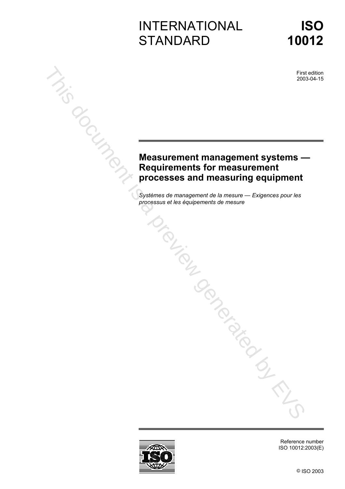# INTERNATIONAL **STANDARD**

First edition 2003-04-15

# **Measurement management systems — Requirements for measurement processes and measuring equipment processus et les équipements for measurement<br>
Processes and measurement<br>
Systems de mesure — Evigences pour les<br>
Processus et les équipement de mesure — Evigences pour les<br>
Processus et les équipements de mesure — Evigenc**

*Systèmes de management de la mesure — Exigences pour les* 



Reference number ISO 10012:2003(E)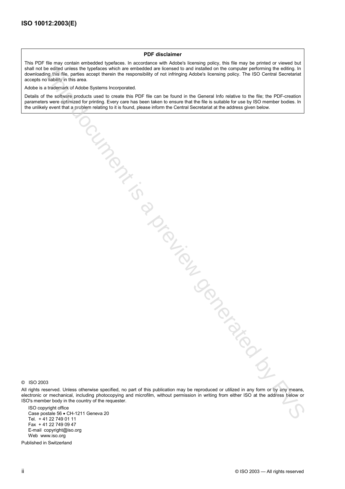#### **PDF disclaimer**

This PDF file may contain embedded typefaces. In accordance with Adobe's licensing policy, this file may be printed or viewed but shall not be edited unless the typefaces which are embedded are licensed to and installed on the computer performing the editing. In downloading this file, parties accept therein the responsibility of not infringing Adobe's licensing policy. The ISO Central Secretariat accepts no liability in this area.

Adobe is a trademark of Adobe Systems Incorporated.

Details of the software products used to create this PDF file can be found in the General Info relative to the file; the PDF-creation parameters were optimized for printing. Every care has been taken to ensure that the file is suitable for use by ISO member bodies. In the unlikely event that a problem relating to it is found, please inform the Central Secretariat at the address given below. , is a proper action is a preview generation by the metalling examples of the control of the control of the control of the control of the control of the control of the control of the control of the control of the control o

© ISO 2003

All rights reserved. Unless otherwise specified, no part of this publication may be reproduced or utilized in any form or by any means, electronic or mechanical, including photocopying and microfilm, without permission in writing from either ISO at the address below or ISO's member body in the country of the requester.

ISO copyright office Case postale 56 • CH-1211 Geneva 20 Tel. + 41 22 749 01 11 Fax + 41 22 749 09 47 E-mail copyright@iso.org Web www.iso.org

Published in Switzerland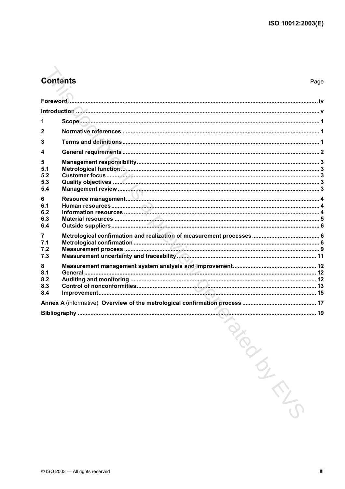# **Contents**

Page

| 1                             |         |  |
|-------------------------------|---------|--|
| 2                             |         |  |
| 3                             |         |  |
| 4                             |         |  |
| 5<br>5.1<br>5.2<br>5.3<br>5.4 |         |  |
| 6<br>6.1<br>6.2<br>6.3<br>6.4 |         |  |
| 7<br>7.1<br>7.2<br>7.3        |         |  |
| 8<br>8.1<br>8.2<br>8.3<br>8.4 |         |  |
|                               |         |  |
|                               | PIRATIO |  |
|                               |         |  |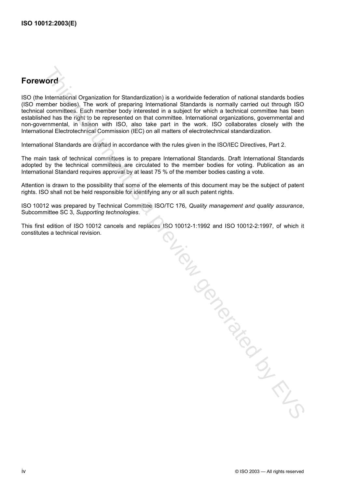# **Foreword**

ISO (the International Organization for Standardization) is a worldwide federation of national standards bodies (ISO member bodies). The work of preparing International Standards is normally carried out through ISO technical committees. Each member body interested in a subject for which a technical committee has been established has the right to be represented on that committee. International organizations, governmental and non-governmental, in liaison with ISO, also take part in the work. ISO collaborates closely with the International Electrotechnical Commission (IEC) on all matters of electrotechnical standardization.

International Standards are drafted in accordance with the rules given in the ISO/IEC Directives, Part 2.

The main task of technical committees is to prepare International Standards. Draft International Standards adopted by the technical committees are circulated to the member bodies for voting. Publication as an International Standard requires approval by at least 75 % of the member bodies casting a vote.

Attention is drawn to the possibility that some of the elements of this document may be the subject of patent rights. ISO shall not be held responsible for identifying any or all such patent rights.

ISO 10012 was prepared by Technical Committee ISO/TC 176, *Quality management and quality assurance*, Subcommittee SC 3, *Supporting technologies*.

This first edition of ISO 10012 cancels and replaces ISO 10012-1:1992 and ISO 10012-2:1997, of which it

This first edition of ISO 10012 cancels and replaces (SO 10012-1:1992 and ISO TWEEZ-TWEET CONSTITUTES a technical revision.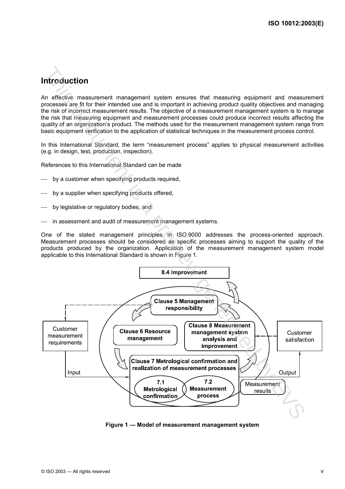# **Introduction**

An effective measurement management system ensures that measuring equipment and measurement processes are fit for their intended use and is important in achieving product quality objectives and managing the risk of incorrect measurement results. The objective of a measurement management system is to manage the risk that measuring equipment and measurement processes could produce incorrect results affecting the quality of an organization's product. The methods used for the measurement management system range from basic equipment verification to the application of statistical techniques in the measurement process control.

In this International Standard, the term "measurement process" applies to physical measurement activities (e.g. in design, test, production, inspection).

References to this International Standard can be made

- by a customer when specifying products required,
- by a supplier when specifying products offered,
- by legislative or regulatory bodies, and
- in assessment and audit of measurement management systems.

One of the stated management principles in ISO 9000 addresses the process-oriented approach. Measurement processes should be considered as specific processes aiming to support the quality of the products produced by the organization. Application of the measurement management system model applicable to this International Standard is shown in Figure 1.



**Figure 1 — Model of measurement management system**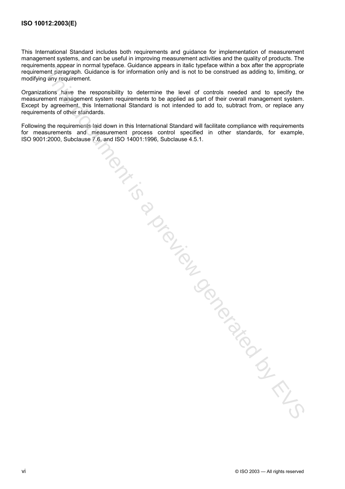This International Standard includes both requirements and guidance for implementation of measurement management systems, and can be useful in improving measurement activities and the quality of products. The requirements appear in normal typeface. Guidance appears in italic typeface within a box after the appropriate requirement paragraph. Guidance is for information only and is not to be construed as adding to, limiting, or modifying any requirement.

Organizations have the responsibility to determine the level of controls needed and to specify the measurement management system requirements to be applied as part of their overall management system. Except by agreement, this International Standard is not intended to add to, subtract from, or replace any requirements of other standards.

Following the requirements laid down in this International Standard will facilitate compliance with requirements for measurements and measurement process control specified in other standards, for example, ISO 9001:2000, Subclause 7.6, and ISO 14001:1996, Subclause 4.5.1. ISO 9001:2000, Subclause 7.6, and ISO 14001:1996, Subclause 4.5.1. This document is a preview generated by EVS